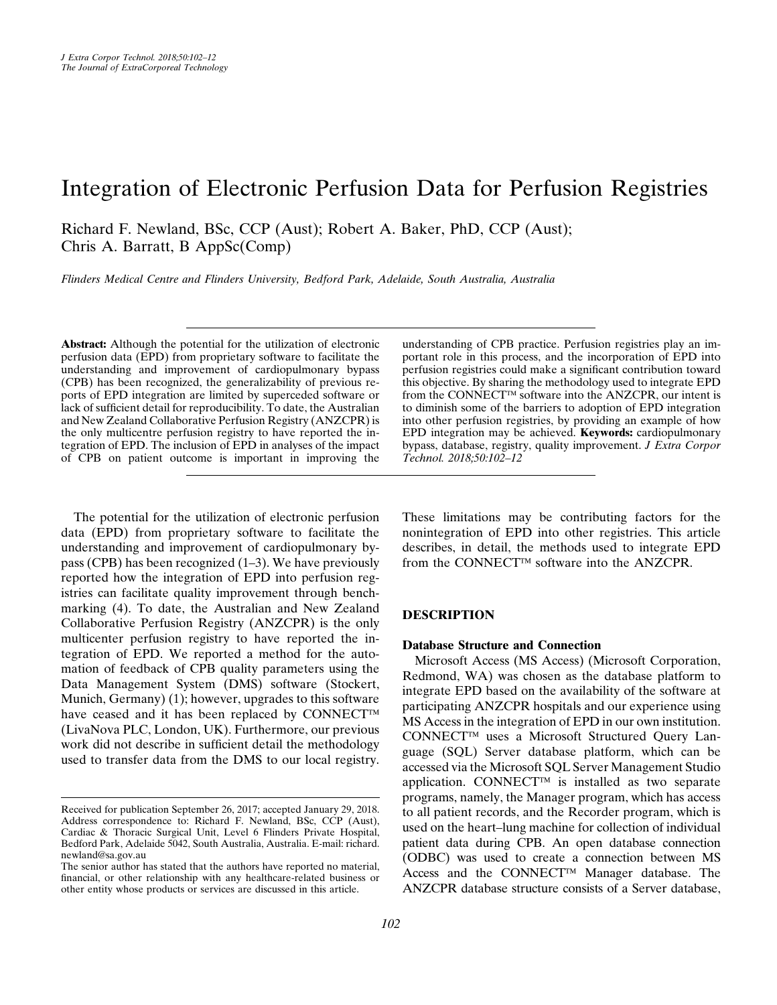# Integration of Electronic Perfusion Data for Perfusion Registries

Richard F. Newland, BSc, CCP (Aust); Robert A. Baker, PhD, CCP (Aust); Chris A. Barratt, B AppSc(Comp)

Flinders Medical Centre and Flinders University, Bedford Park, Adelaide, South Australia, Australia

Abstract: Although the potential for the utilization of electronic perfusion data (EPD) from proprietary software to facilitate the understanding and improvement of cardiopulmonary bypass (CPB) has been recognized, the generalizability of previous reports of EPD integration are limited by superceded software or lack of sufficient detail for reproducibility. To date, the Australian and New Zealand Collaborative Perfusion Registry (ANZCPR) is the only multicentre perfusion registry to have reported the integration of EPD. The inclusion of EPD in analyses of the impact of CPB on patient outcome is important in improving the

The potential for the utilization of electronic perfusion data (EPD) from proprietary software to facilitate the understanding and improvement of cardiopulmonary bypass (CPB) has been recognized [\(1](#page-5-0)–[3](#page-5-0)). We have previously reported how the integration of EPD into perfusion registries can facilitate quality improvement through benchmarking [\(4](#page-5-0)). To date, the Australian and New Zealand Collaborative Perfusion Registry (ANZCPR) is the only multicenter perfusion registry to have reported the integration of EPD. We reported a method for the automation of feedback of CPB quality parameters using the Data Management System (DMS) software (Stockert, Munich, Germany) ([1\)](#page-5-0); however, upgrades to this software have ceased and it has been replaced by CONNECT<sup>™</sup> (LivaNova PLC, London, UK). Furthermore, our previous work did not describe in sufficient detail the methodology used to transfer data from the DMS to our local registry.

understanding of CPB practice. Perfusion registries play an important role in this process, and the incorporation of EPD into perfusion registries could make a significant contribution toward this objective. By sharing the methodology used to integrate EPD from the CONNECT<sup>TM</sup> software into the ANZCPR, our intent is to diminish some of the barriers to adoption of EPD integration into other perfusion registries, by providing an example of how EPD integration may be achieved. Keywords: cardiopulmonary bypass, database, registry, quality improvement. J Extra Corpor Technol. 2018;50:102–12

These limitations may be contributing factors for the nonintegration of EPD into other registries. This article describes, in detail, the methods used to integrate EPD from the CONNECT<sup>TM</sup> software into the ANZCPR.

### DESCRIPTION

#### Database Structure and Connection

Microsoft Access (MS Access) (Microsoft Corporation, Redmond, WA) was chosen as the database platform to integrate EPD based on the availability of the software at participating ANZCPR hospitals and our experience using MS Access in the integration of EPD in our own institution.  $CONF **CT**<sup>TM</sup>$  uses a Microsoft Structured Ouery Language (SQL) Server database platform, which can be accessed via the Microsoft SQL Server Management Studio application. CONNECT<sup>TM</sup> is installed as two separate programs, namely, the Manager program, which has access to all patient records, and the Recorder program, which is used on the heart–lung machine for collection of individual patient data during CPB. An open database connection (ODBC) was used to create a connection between MS Access and the CONNECT<sup>™</sup> Manager database. The ANZCPR database structure consists of a Server database,

Received for publication September 26, 2017; accepted January 29, 2018. Address correspondence to: Richard F. Newland, BSc, CCP (Aust), Cardiac & Thoracic Surgical Unit, Level 6 Flinders Private Hospital, Bedford Park, Adelaide 5042, South Australia, Australia. E-mail: [richard.](mailto:richard.newland@sa.gov.au) [newland@sa.gov.au](mailto:richard.newland@sa.gov.au)

The senior author has stated that the authors have reported no material, financial, or other relationship with any healthcare-related business or other entity whose products or services are discussed in this article.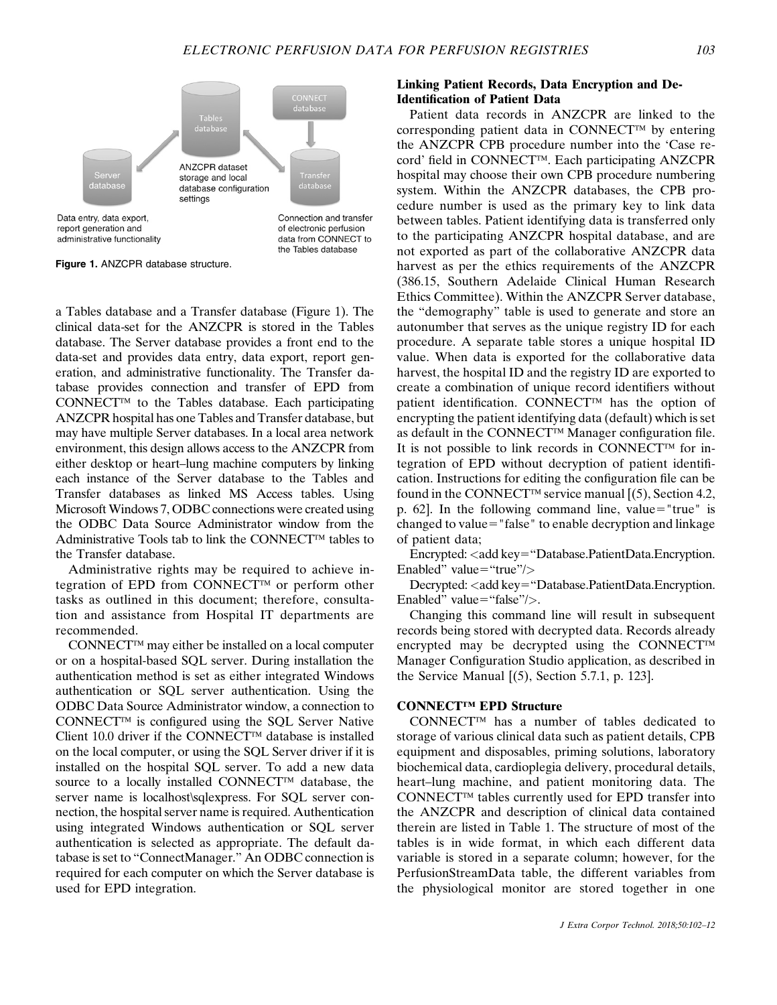

Figure 1. ANZCPR database structure.

a Tables database and a Transfer database (Figure 1). The clinical data-set for the ANZCPR is stored in the Tables database. The Server database provides a front end to the data-set and provides data entry, data export, report generation, and administrative functionality. The Transfer database provides connection and transfer of EPD from  $CONFECT<sup>TM</sup>$  to the Tables database. Each participating ANZCPR hospital has one Tables and Transfer database, but may have multiple Server databases. In a local area network environment, this design allows access to the ANZCPR from either desktop or heart–lung machine computers by linking each instance of the Server database to the Tables and Transfer databases as linked MS Access tables. Using Microsoft Windows 7, ODBC connections were created using the ODBC Data Source Administrator window from the Administrative Tools tab to link the CONNECT<sup>™</sup> tables to the Transfer database.

Administrative rights may be required to achieve integration of EPD from CONNECT<sup>™</sup> or perform other tasks as outlined in this document; therefore, consultation and assistance from Hospital IT departments are recommended.

 $CONF **CT**<sup>TM</sup>$  may either be installed on a local computer or on a hospital-based SQL server. During installation the authentication method is set as either integrated Windows authentication or SQL server authentication. Using the ODBC Data Source Administrator window, a connection to  $CONNECT^{TM}$  is configured using the SQL Server Native Client 10.0 driver if the CONNECT<sup>TM</sup> database is installed on the local computer, or using the SQL Server driver if it is installed on the hospital SQL server. To add a new data source to a locally installed CONNECT<sup>™</sup> database, the server name is localhost sqlexpress. For SQL server connection, the hospital server name is required. Authentication using integrated Windows authentication or SQL server authentication is selected as appropriate. The default database is set to "ConnectManager." An ODBC connection is required for each computer on which the Server database is used for EPD integration.

### Linking Patient Records, Data Encryption and De-Identification of Patient Data

Patient data records in ANZCPR are linked to the corresponding patient data in CONNECT<sup>TM</sup> by entering the ANZCPR CPB procedure number into the 'Case record' field in CONNECT™. Each participating ANZCPR hospital may choose their own CPB procedure numbering system. Within the ANZCPR databases, the CPB procedure number is used as the primary key to link data between tables. Patient identifying data is transferred only to the participating ANZCPR hospital database, and are not exported as part of the collaborative ANZCPR data harvest as per the ethics requirements of the ANZCPR (386.15, Southern Adelaide Clinical Human Research Ethics Committee). Within the ANZCPR Server database, the "demography" table is used to generate and store an autonumber that serves as the unique registry ID for each procedure. A separate table stores a unique hospital ID value. When data is exported for the collaborative data harvest, the hospital ID and the registry ID are exported to create a combination of unique record identifiers without patient identification. CONNECT<sup>TM</sup> has the option of encrypting the patient identifying data (default) which is set as default in the CONNECT<sup>TM</sup> Manager configuration file. It is not possible to link records in CONNECT<sup>TM</sup> for integration of EPD without decryption of patient identification. Instructions for editing the configuration file can be found in the CONNECT<sup>TM</sup> service manual  $[(5)$  $[(5)$ , Section 4.2, p. 62]. In the following command line, value="true" is changed to value="false" to enable decryption and linkage of patient data;

Encrypted: <add key="Database.PatientData.Encryption. Enabled" value="true"/ $>$ 

Decrypted: <add key="Database.PatientData.Encryption. Enabled" value="false"/ $>$ .

Changing this command line will result in subsequent records being stored with decrypted data. Records already encrypted may be decrypted using the CONNECT Manager Configuration Studio application, as described in the Service Manual  $(5)$  $(5)$ , Section 5.7.1, p. 123].

#### CONNECT™ EPD Structure

 $CONF  $\mathbb{C}$  and  $\mathbb{C}$  and  $\mathbb{C}$  and  $\mathbb{C}$  and  $\mathbb{C}$  and  $\mathbb{C}$  and  $\mathbb{C}$  are  $\mathbb{C}$  and  $\mathbb{C}$  are  $\mathbb{C}$  and  $\mathbb{C}$  are  $\mathbb{C}$  are  $\mathbb{C}$  are  $\mathbb{C}$  are  $\mathbb{C}$  are  $\mathbb{C}$  are  $\mathbb{C}$  a$ storage of various clinical data such as patient details, CPB equipment and disposables, priming solutions, laboratory biochemical data, cardioplegia delivery, procedural details, heart–lung machine, and patient monitoring data. The  $CONF  $\mathbb{C}$  tables currently used for EPD transfer into$ the ANZCPR and description of clinical data contained therein are listed in [Table 1.](#page-2-0) The structure of most of the tables is in wide format, in which each different data variable is stored in a separate column; however, for the PerfusionStreamData table, the different variables from the physiological monitor are stored together in one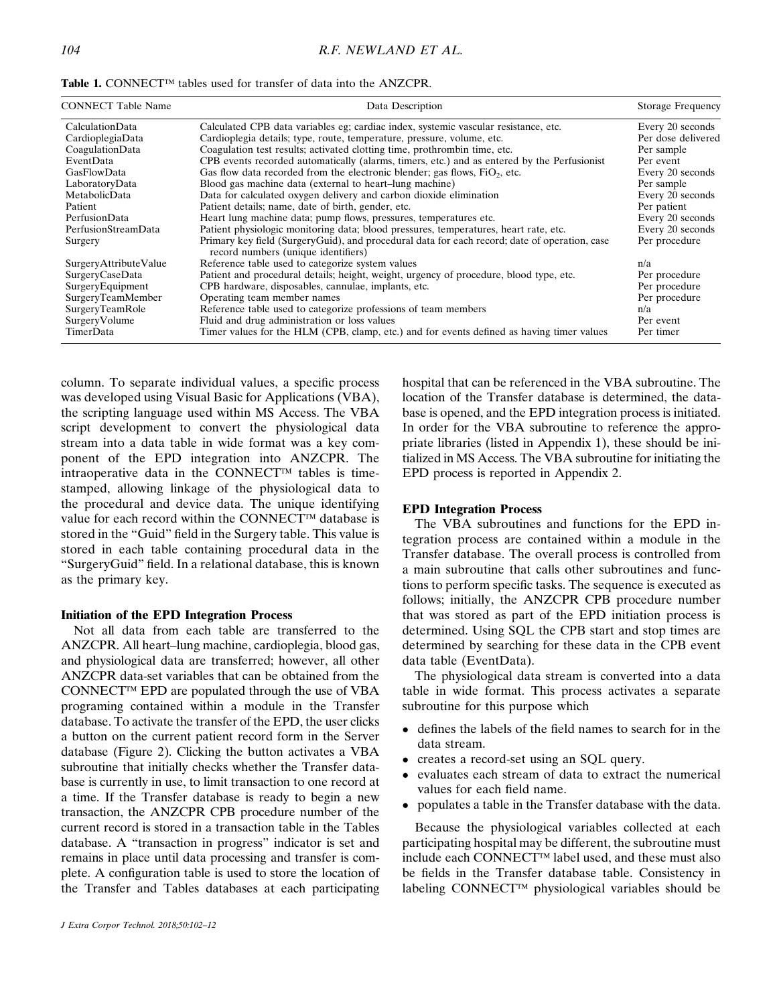| <b>CONNECT Table Name</b> | Data Description                                                                                                                     | <b>Storage Frequency</b> |
|---------------------------|--------------------------------------------------------------------------------------------------------------------------------------|--------------------------|
| CalculationData           | Calculated CPB data variables eg; cardiac index, systemic vascular resistance, etc.                                                  | Every 20 seconds         |
| CardioplegiaData          | Cardioplegia details; type, route, temperature, pressure, volume, etc.                                                               | Per dose delivered       |
| CoagulationData           | Coagulation test results; activated clotting time, prothrombin time, etc.                                                            | Per sample               |
| EventData                 | CPB events recorded automatically (alarms, timers, etc.) and as entered by the Perfusionist                                          | Per event                |
| GasFlowData               | Gas flow data recorded from the electronic blender; gas flows, $FiO2$ , etc.                                                         | Every 20 seconds         |
| LaboratoryData            | Blood gas machine data (external to heart-lung machine)                                                                              | Per sample               |
| MetabolicData             | Data for calculated oxygen delivery and carbon dioxide elimination                                                                   | Every 20 seconds         |
| Patient                   | Patient details; name, date of birth, gender, etc.                                                                                   | Per patient              |
| PerfusionData             | Heart lung machine data; pump flows, pressures, temperatures etc.                                                                    | Every 20 seconds         |
| PerfusionStreamData       | Patient physiologic monitoring data; blood pressures, temperatures, heart rate, etc.                                                 | Every 20 seconds         |
| Surgery                   | Primary key field (SurgeryGuid), and procedural data for each record; date of operation, case<br>record numbers (unique identifiers) | Per procedure            |
| SurgeryAttributeValue     | Reference table used to categorize system values                                                                                     | n/a                      |
| SurgeryCaseData           | Patient and procedural details; height, weight, urgency of procedure, blood type, etc.                                               | Per procedure            |
| SurgeryEquipment          | CPB hardware, disposables, cannulae, implants, etc.                                                                                  | Per procedure            |
| SurgeryTeamMember         | Operating team member names                                                                                                          | Per procedure            |
| SurgeryTeamRole           | Reference table used to categorize professions of team members                                                                       | n/a                      |
| SurgeryVolume             | Fluid and drug administration or loss values                                                                                         | Per event                |
| TimerData                 | Timer values for the HLM (CPB, clamp, etc.) and for events defined as having timer values                                            | Per timer                |

<span id="page-2-0"></span>Table 1. CONNECT<sup>™</sup> tables used for transfer of data into the ANZCPR.

column. To separate individual values, a specific process was developed using Visual Basic for Applications (VBA), the scripting language used within MS Access. The VBA script development to convert the physiological data stream into a data table in wide format was a key component of the EPD integration into ANZCPR. The intraoperative data in the CONNECT<sup>TM</sup> tables is timestamped, allowing linkage of the physiological data to the procedural and device data. The unique identifying value for each record within the CONNECT™ database is stored in the "Guid" field in the Surgery table. This value is stored in each table containing procedural data in the "SurgeryGuid" field. In a relational database, this is known as the primary key.

#### Initiation of the EPD Integration Process

Not all data from each table are transferred to the ANZCPR. All heart–lung machine, cardioplegia, blood gas, and physiological data are transferred; however, all other ANZCPR data-set variables that can be obtained from the CONNECT<sup>™</sup> EPD are populated through the use of VBA programing contained within a module in the Transfer database. To activate the transfer of the EPD, the user clicks a button on the current patient record form in the Server database [\(Figure 2](#page-3-0)). Clicking the button activates a VBA subroutine that initially checks whether the Transfer database is currently in use, to limit transaction to one record at a time. If the Transfer database is ready to begin a new transaction, the ANZCPR CPB procedure number of the current record is stored in a transaction table in the Tables database. A "transaction in progress" indicator is set and remains in place until data processing and transfer is complete. A configuration table is used to store the location of the Transfer and Tables databases at each participating hospital that can be referenced in the VBA subroutine. The location of the Transfer database is determined, the database is opened, and the EPD integration process is initiated. In order for the VBA subroutine to reference the appropriate libraries (listed in Appendix 1), these should be initialized in MS Access. The VBA subroutine for initiating the EPD process is reported in Appendix 2.

#### EPD Integration Process

The VBA subroutines and functions for the EPD integration process are contained within a module in the Transfer database. The overall process is controlled from a main subroutine that calls other subroutines and functions to perform specific tasks. The sequence is executed as follows; initially, the ANZCPR CPB procedure number that was stored as part of the EPD initiation process is determined. Using SQL the CPB start and stop times are determined by searching for these data in the CPB event data table (EventData).

The physiological data stream is converted into a data table in wide format. This process activates a separate subroutine for this purpose which

- defines the labels of the field names to search for in the data stream.
- creates a record-set using an SOL query.
- evaluates each stream of data to extract the numerical values for each field name.
- populates a table in the Transfer database with the data.

Because the physiological variables collected at each participating hospital may be different, the subroutine must include each CONNECT<sup>™</sup> label used, and these must also be fields in the Transfer database table. Consistency in labeling CONNECT™ physiological variables should be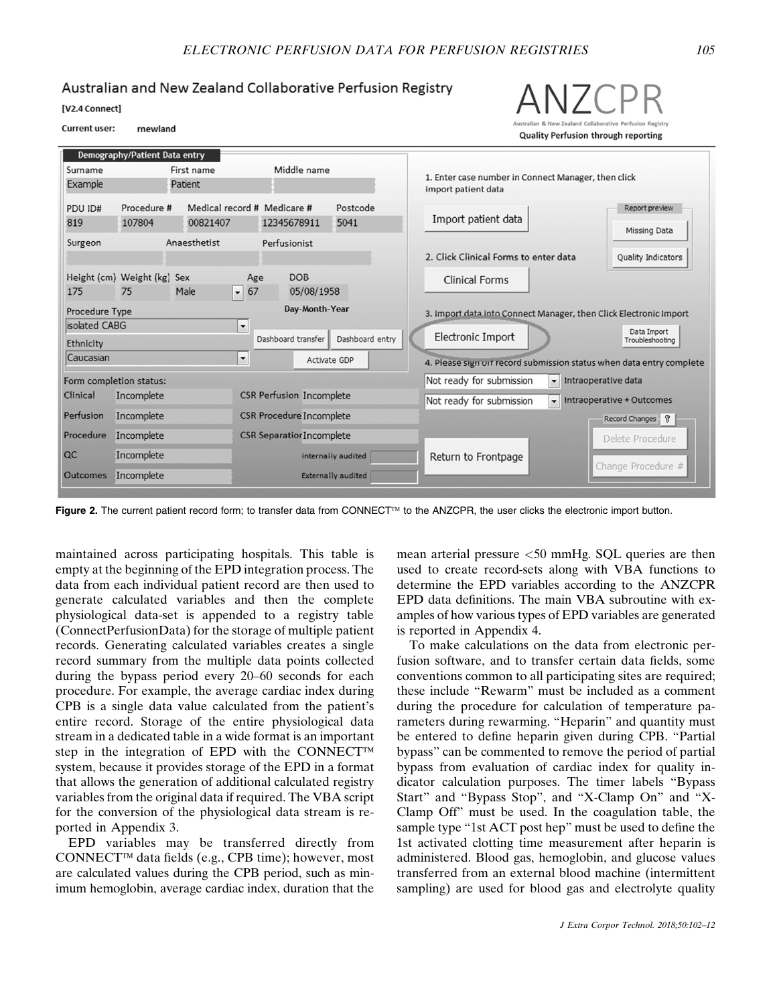### <span id="page-3-0"></span>Australian and New Zealand Collaborative Perfusion Registry

[V2.4 Connect]

#### **Current user:** rnewland

Demography/Patient Data entry





Figure 2. The current patient record form; to transfer data from CONNECT<sup>IM</sup> to the ANZCPR, the user clicks the electronic import button.

maintained across participating hospitals. This table is empty at the beginning of the EPD integration process. The data from each individual patient record are then used to generate calculated variables and then the complete physiological data-set is appended to a registry table (ConnectPerfusionData) for the storage of multiple patient records. Generating calculated variables creates a single record summary from the multiple data points collected during the bypass period every 20–60 seconds for each procedure. For example, the average cardiac index during CPB is a single data value calculated from the patient's entire record. Storage of the entire physiological data stream in a dedicated table in a wide format is an important step in the integration of EPD with the CONNECT<sup>TM</sup> system, because it provides storage of the EPD in a format that allows the generation of additional calculated registry variables from the original data if required. The VBA script for the conversion of the physiological data stream is reported in Appendix 3.

EPD variables may be transferred directly from CONNECT<sup>™</sup> data fields (e.g., CPB time); however, most are calculated values during the CPB period, such as minimum hemoglobin, average cardiac index, duration that the mean arterial pressure <50 mmHg. SQL queries are then used to create record-sets along with VBA functions to determine the EPD variables according to the ANZCPR EPD data definitions. The main VBA subroutine with examples of how various types of EPD variables are generated is reported in Appendix 4.

To make calculations on the data from electronic perfusion software, and to transfer certain data fields, some conventions common to all participating sites are required; these include "Rewarm" must be included as a comment during the procedure for calculation of temperature parameters during rewarming. "Heparin" and quantity must be entered to define heparin given during CPB. "Partial bypass" can be commented to remove the period of partial bypass from evaluation of cardiac index for quality indicator calculation purposes. The timer labels "Bypass Start" and "Bypass Stop", and "X-Clamp On" and "X-Clamp Off" must be used. In the coagulation table, the sample type "1st ACT post hep" must be used to define the 1st activated clotting time measurement after heparin is administered. Blood gas, hemoglobin, and glucose values transferred from an external blood machine (intermittent sampling) are used for blood gas and electrolyte quality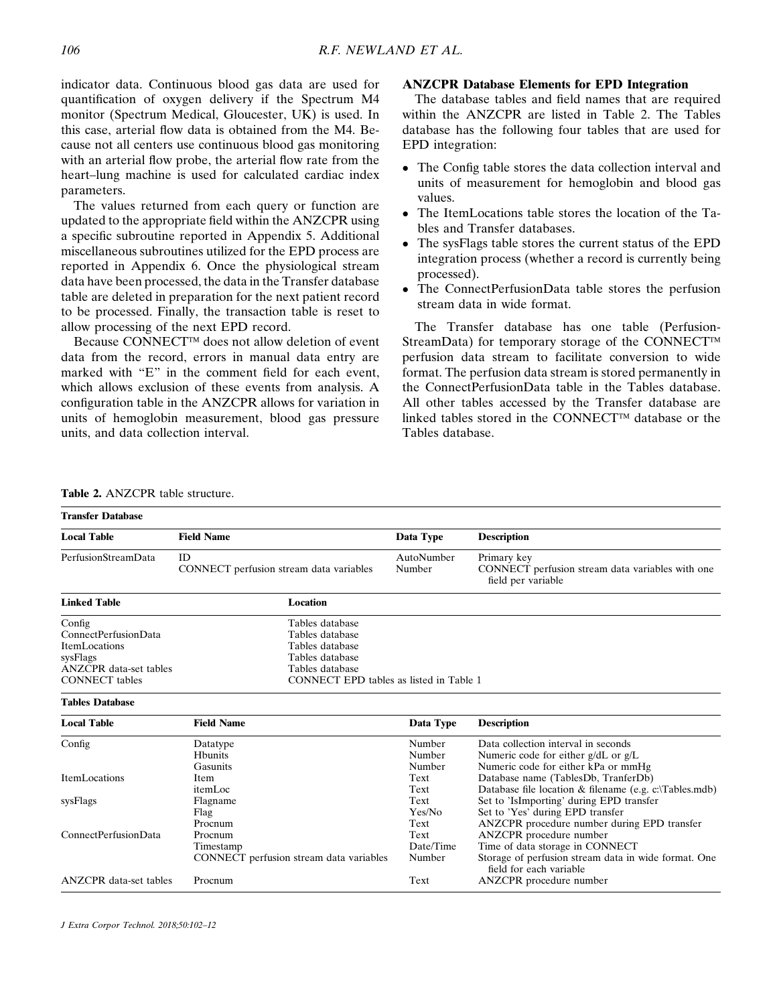indicator data. Continuous blood gas data are used for quantification of oxygen delivery if the Spectrum M4 monitor (Spectrum Medical, Gloucester, UK) is used. In this case, arterial flow data is obtained from the M4. Because not all centers use continuous blood gas monitoring with an arterial flow probe, the arterial flow rate from the heart–lung machine is used for calculated cardiac index parameters.

The values returned from each query or function are updated to the appropriate field within the ANZCPR using a specific subroutine reported in Appendix 5. Additional miscellaneous subroutines utilized for the EPD process are reported in Appendix 6. Once the physiological stream data have been processed, the data in the Transfer database table are deleted in preparation for the next patient record to be processed. Finally, the transaction table is reset to allow processing of the next EPD record.

Because CONNECT<sup>™</sup> does not allow deletion of event data from the record, errors in manual data entry are marked with "E" in the comment field for each event, which allows exclusion of these events from analysis. A configuration table in the ANZCPR allows for variation in units of hemoglobin measurement, blood gas pressure units, and data collection interval.

### ANZCPR Database Elements for EPD Integration

The database tables and field names that are required within the ANZCPR are listed in Table 2. The Tables database has the following four tables that are used for EPD integration:

- The Config table stores the data collection interval and units of measurement for hemoglobin and blood gas values.
- The ItemLocations table stores the location of the Tables and Transfer databases.
- The sysFlags table stores the current status of the EPD integration process (whether a record is currently being processed).
- The ConnectPerfusionData table stores the perfusion stream data in wide format.

The Transfer database has one table (Perfusion-StreamData) for temporary storage of the CONNECT™ perfusion data stream to facilitate conversion to wide format. The perfusion data stream is stored permanently in the ConnectPerfusionData table in the Tables database. All other tables accessed by the Transfer database are linked tables stored in the CONNECT<sup>TM</sup> database or the Tables database.

#### Table 2. ANZCPR table structure.

| <b>Transfer Database</b>                                                                                              |                                                                                                                                        |                             |                                                                                                                                               |  |  |
|-----------------------------------------------------------------------------------------------------------------------|----------------------------------------------------------------------------------------------------------------------------------------|-----------------------------|-----------------------------------------------------------------------------------------------------------------------------------------------|--|--|
| <b>Local Table</b>                                                                                                    | <b>Field Name</b>                                                                                                                      | Data Type                   | <b>Description</b>                                                                                                                            |  |  |
| PerfusionStreamData                                                                                                   | ID<br>CONNECT perfusion stream data variables                                                                                          | AutoNumber<br>Number        | Primary key<br>CONNECT perfusion stream data variables with one<br>field per variable                                                         |  |  |
| <b>Linked Table</b>                                                                                                   | Location                                                                                                                               |                             |                                                                                                                                               |  |  |
| Config<br>ConnectPerfusionData<br>ItemLocations<br>sysFlags<br><b>ANZCPR</b> data-set tables<br><b>CONNECT</b> tables | Tables database<br>Tables database<br>Tables database<br>Tables database<br>Tables database<br>CONNECT EPD tables as listed in Table 1 |                             |                                                                                                                                               |  |  |
| <b>Tables Database</b>                                                                                                |                                                                                                                                        |                             |                                                                                                                                               |  |  |
| <b>Local Table</b>                                                                                                    | <b>Field Name</b>                                                                                                                      | Data Type                   | <b>Description</b>                                                                                                                            |  |  |
| Config                                                                                                                | Datatype<br><b>H</b> bunits<br>Gasunits                                                                                                | Number<br>Number<br>Number  | Data collection interval in seconds<br>Numeric code for either $g/dL$ or $g/L$<br>Numeric code for either kPa or mmHg                         |  |  |
| ItemLocations                                                                                                         | Item<br>itemLoc                                                                                                                        | Text<br>Text                | Database name (TablesDb, TranferDb)<br>Database file location $\&$ filename (e.g. c:\Tables.mdb)                                              |  |  |
| sysFlags                                                                                                              | Flagname<br>Flag<br>Procnum                                                                                                            | Text<br>Yes/No<br>Text      | Set to 'IsImporting' during EPD transfer<br>Set to 'Yes' during EPD transfer<br>ANZCPR procedure number during EPD transfer                   |  |  |
| ConnectPerfusionData                                                                                                  | Procnum<br>Timestamp<br>CONNECT perfusion stream data variables                                                                        | Text<br>Date/Time<br>Number | ANZCPR procedure number<br>Time of data storage in CONNECT<br>Storage of perfusion stream data in wide format. One<br>field for each variable |  |  |
| <b>ANZCPR</b> data-set tables                                                                                         | Procnum                                                                                                                                | Text                        | ANZCPR procedure number                                                                                                                       |  |  |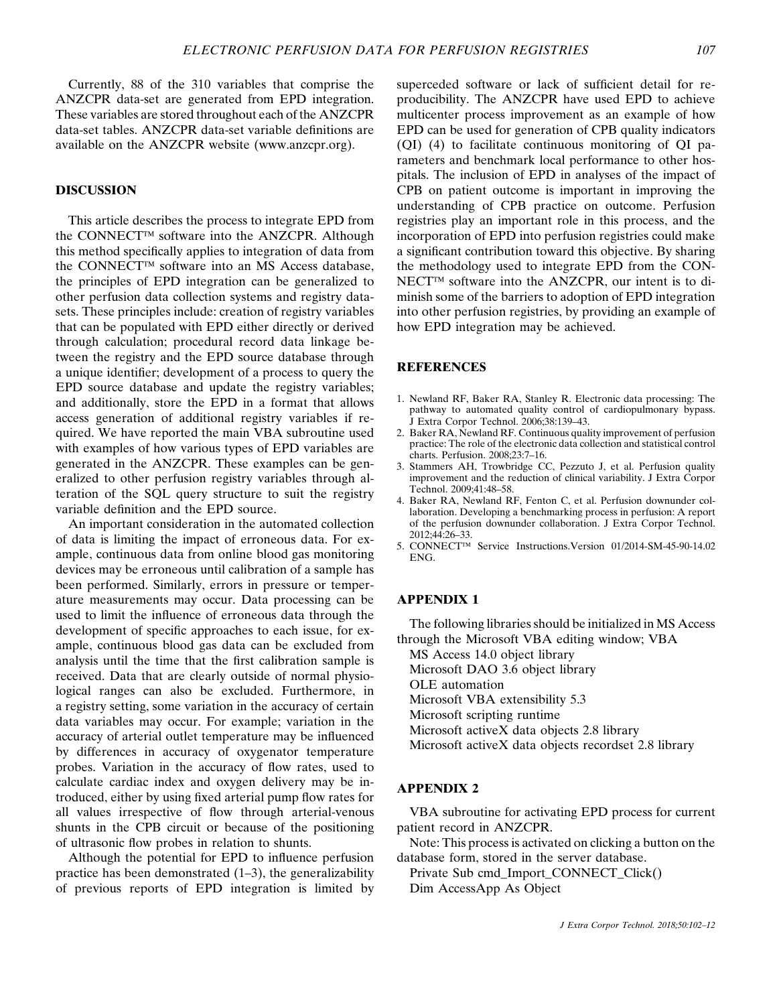<span id="page-5-0"></span>Currently, 88 of the 310 variables that comprise the ANZCPR data-set are generated from EPD integration. These variables are stored throughout each of the ANZCPR data-set tables. ANZCPR data-set variable definitions are available on the ANZCPR website [\(www.anzcpr.org\)](http://www.anzcpr.org).

#### DISCUSSION

This article describes the process to integrate EPD from the CONNECT<sup>TM</sup> software into the ANZCPR. Although this method specifically applies to integration of data from the CONNECT<sup>™</sup> software into an MS Access database, the principles of EPD integration can be generalized to other perfusion data collection systems and registry datasets. These principles include: creation of registry variables that can be populated with EPD either directly or derived through calculation; procedural record data linkage between the registry and the EPD source database through a unique identifier; development of a process to query the EPD source database and update the registry variables; and additionally, store the EPD in a format that allows access generation of additional registry variables if required. We have reported the main VBA subroutine used with examples of how various types of EPD variables are generated in the ANZCPR. These examples can be generalized to other perfusion registry variables through alteration of the SQL query structure to suit the registry variable definition and the EPD source.

An important consideration in the automated collection of data is limiting the impact of erroneous data. For example, continuous data from online blood gas monitoring devices may be erroneous until calibration of a sample has been performed. Similarly, errors in pressure or temperature measurements may occur. Data processing can be used to limit the influence of erroneous data through the development of specific approaches to each issue, for example, continuous blood gas data can be excluded from analysis until the time that the first calibration sample is received. Data that are clearly outside of normal physiological ranges can also be excluded. Furthermore, in a registry setting, some variation in the accuracy of certain data variables may occur. For example; variation in the accuracy of arterial outlet temperature may be influenced by differences in accuracy of oxygenator temperature probes. Variation in the accuracy of flow rates, used to calculate cardiac index and oxygen delivery may be introduced, either by using fixed arterial pump flow rates for all values irrespective of flow through arterial-venous shunts in the CPB circuit or because of the positioning of ultrasonic flow probes in relation to shunts.

Although the potential for EPD to influence perfusion practice has been demonstrated  $(1-3)$ , the generalizability of previous reports of EPD integration is limited by superceded software or lack of sufficient detail for reproducibility. The ANZCPR have used EPD to achieve multicenter process improvement as an example of how EPD can be used for generation of CPB quality indicators (QI) (4) to facilitate continuous monitoring of QI parameters and benchmark local performance to other hospitals. The inclusion of EPD in analyses of the impact of CPB on patient outcome is important in improving the understanding of CPB practice on outcome. Perfusion registries play an important role in this process, and the incorporation of EPD into perfusion registries could make a significant contribution toward this objective. By sharing the methodology used to integrate EPD from the CON- $NECT^{TM}$  software into the ANZCPR, our intent is to diminish some of the barriers to adoption of EPD integration into other perfusion registries, by providing an example of how EPD integration may be achieved.

### **REFERENCES**

- 1. Newland RF, Baker RA, Stanley R. Electronic data processing: The pathway to automated quality control of cardiopulmonary bypass. J Extra Corpor Technol. 2006;38:139–43.
- 2. Baker RA, Newland RF. Continuous quality improvement of perfusion practice: The role of the electronic data collection and statistical control charts. Perfusion. 2008;23:7–16.
- 3. Stammers AH, Trowbridge CC, Pezzuto J, et al. Perfusion quality improvement and the reduction of clinical variability. J Extra Corpor Technol. 2009;41:48–58.
- 4. Baker RA, Newland RF, Fenton C, et al. Perfusion downunder collaboration. Developing a benchmarking process in perfusion: A report of the perfusion downunder collaboration. J Extra Corpor Technol. 2012;44:26–33.
- 5. CONNECT<sup>™</sup> Service Instructions.Version 01/2014-SM-45-90-14.02 ENG.

### APPENDIX 1

The following libraries should be initialized in MS Access through the Microsoft VBA editing window; VBA

MS Access 14.0 object library Microsoft DAO 3.6 object library OLE automation Microsoft VBA extensibility 5.3 Microsoft scripting runtime Microsoft activeX data objects 2.8 library Microsoft activeX data objects recordset 2.8 library

### APPENDIX 2

VBA subroutine for activating EPD process for current patient record in ANZCPR.

Note: This process is activated on clicking a button on the database form, stored in the server database.

Private Sub cmd\_Import\_CONNECT\_Click() Dim AccessApp As Object

J Extra Corpor Technol. 2018;50:102–12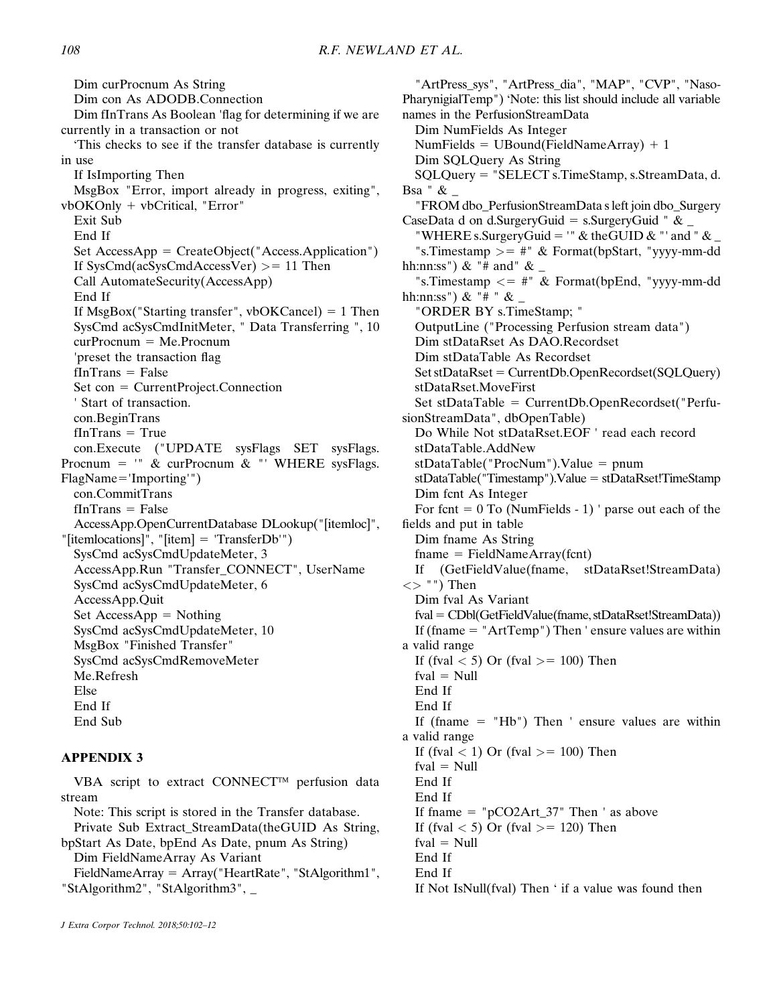Dim curProcnum As String Dim con As ADODB.Connection Dim fInTrans As Boolean 'flag for determining if we are currently in a transaction or not 'This checks to see if the transfer database is currently in use If IsImporting Then MsgBox "Error, import already in progress, exiting", vbOKOnly + vbCritical, "Error" Exit Sub End If Set  $AccessApp = CreateObject("Access.Application")$ If  $SysCmd(acSysCmdAccessVer) > = 11$  Then Call AutomateSecurity(AccessApp) End If If  $MsgBox("Starting transfer", vbOKCancel) = 1$  Then SysCmd acSysCmdInitMeter, " Data Transferring ", 10  $curProcnum = Me.Procnum$ 'preset the transaction flag  $fInTrans = False$  $Set con = CurrentProject.Connection$ ' Start of transaction. con.BeginTrans  $fInTrans = True$ con.Execute ("UPDATE sysFlags SET sysFlags. Procnum =  $"$  & curProcnum & "' WHERE sysFlags.  $FlagName='Importing'')$ con.CommitTrans  $fInTrans = False$ AccessApp.OpenCurrentDatabase DLookup("[itemloc]", "[itemlocations]", "[item] = 'TransferDb'") SysCmd acSysCmdUpdateMeter, 3 AccessApp.Run "Transfer\_CONNECT", UserName SysCmd acSysCmdUpdateMeter, 6 AccessApp.Quit Set  $AccessApp = Nothing$ SysCmd acSysCmdUpdateMeter, 10 MsgBox "Finished Transfer" SysCmd acSysCmdRemoveMeter Me.Refresh Else End If End Sub

## APPENDIX 3

VBA script to extract CONNECT<sup>™</sup> perfusion data stream Note: This script is stored in the Transfer database.

Private Sub Extract\_StreamData(theGUID As String, bpStart As Date, bpEnd As Date, pnum As String)

Dim FieldNameArray As Variant

 $FieldNameArray = Array("HeartRate", "StAlgorithm1",$ "StAlgorithm2", "StAlgorithm3", \_

"ArtPress\_sys", "ArtPress\_dia", "MAP", "CVP", "Naso-PharynigialTemp") 'Note: this list should include all variable names in the PerfusionStreamData Dim NumFields As Integer NumFields =  $UBound(FieldNameArray) + 1$ Dim SQLQuery As String SQLQuery 5 "SELECT s.TimeStamp, s.StreamData, d. Bsa " & \_ "FROM dbo\_PerfusionStreamData s left join dbo\_Surgery CaseData d on d.SurgeryGuid = s.SurgeryGuid "  $\&$ "WHERE s.SurgeryGuid = '" & theGUID & "' and "  $\&$ "s.Timestamp  $\psi$  = #" & Format(bpStart, "yyyy-mm-dd" hh:nn:ss") & "# and" & "s.Timestamp  $\leq$  #" & Format(bpEnd, "yyyy-mm-dd" hh:nn:ss") & "#" & "ORDER BY s.TimeStamp; " OutputLine ("Processing Perfusion stream data") Dim stDataRset As DAO.Recordset Dim stDataTable As Recordset  $Set stDataRest = CurrentDb.OpenRecordset(SQLQuery)$ stDataRset.MoveFirst Set stDataTable =  $CurrentDb.OpenRecordset("Perfu$ sionStreamData", dbOpenTable) Do While Not stDataRset.EOF ' read each record stDataTable.AddNew  $stDataTable("ProcNum").Value = pnum$  $stDataTable("Timestamp")$ .Value =  $stDataRset!TimeStamp$ Dim fcnt As Integer For fcnt  $= 0$  To (NumFields - 1) ' parse out each of the fields and put in table Dim fname As String  $fname = FieldNameArray(fent)$ If (GetFieldValue(fname, stDataRset!StreamData)  $\langle$   $\rangle$  "") Then Dim fval As Variant fval = CDbl(GetFieldValue(fname, stDataRset!StreamData)) If (fname  $=$  "ArtTemp") Then ' ensure values are within a valid range If (fval  $<$  5) Or (fval  $>$  = 100) Then  $fval = Null$ End If End If If (fname  $=$  "Hb") Then ' ensure values are within a valid range If (fval  $<$  1) Or (fval  $>$  = 100) Then  $fval = Null$ End If End If If fname  $=$  "pCO2Art 37" Then ' as above If (fval  $<$  5) Or (fval  $>$  = 120) Then

 $fval = Null$ 

End If

End If

If Not IsNull(fval) Then ' if a value was found then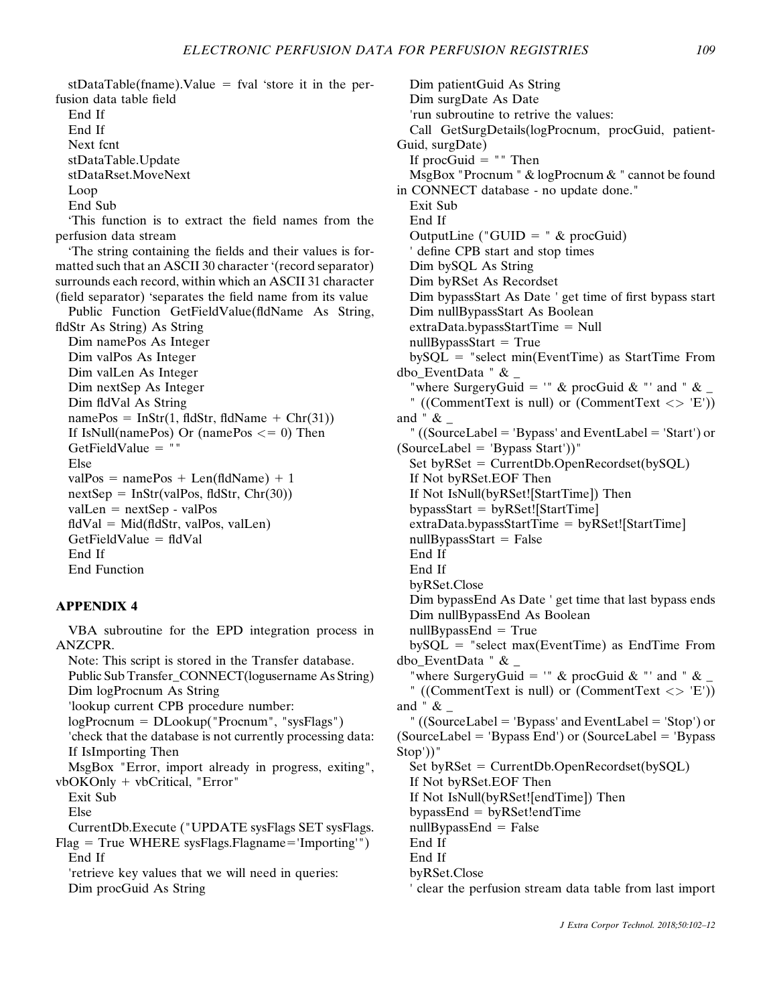$stDataTable(fname).Value = fval 'store it in the per$ fusion data table field

End If End If Next fcnt stDataTable.Update

stDataRset.MoveNext

Loop

End Sub

'This function is to extract the field names from the perfusion data stream

'The string containing the fields and their values is formatted such that an ASCII 30 character '(record separator) surrounds each record, within which an ASCII 31 character (field separator) 'separates the field name from its value

Public Function GetFieldValue(fldName As String, fldStr As String) As String Dim namePos As Integer Dim valPos As Integer Dim valLen As Integer Dim nextSep As Integer Dim fldVal As String  $namePos = InStr(1, fldStr, fldName + Chr(31))$ If IsNull(namePos) Or (namePos  $<= 0$ ) Then GetFieldValue  $=$  "" Else valPos = namePos + Len(fldName) + 1  $nextSep = InStr(valueos, fldStr, Chr(30))$  $vallen = nextSep - valPos$  $\text{fidVal} = \text{Mid}(\text{fidStr}, \text{valPos}, \text{valLen})$  $GetFieldValue = fidVal$ End If End Function

### APPENDIX 4

VBA subroutine for the EPD integration process in ANZCPR. Note: This script is stored in the Transfer database.

Public Sub Transfer\_CONNECT(logusername As String) Dim logProcnum As String 'lookup current CPB procedure number:  $logProcnum = DLookup("Procnum", "sysFlags")$ 'check that the database is not currently processing data: If IsImporting Then MsgBox "Error, import already in progress, exiting", vbOKOnly + vbCritical, "Error" Exit Sub Else CurrentDb.Execute ("UPDATE sysFlags SET sysFlags.  $Flag = True WHERE sysFlags.Flagname='Importing'")$ End If

'retrieve key values that we will need in queries: Dim procGuid As String

Dim patientGuid As String Dim surgDate As Date 'run subroutine to retrive the values: Call GetSurgDetails(logProcnum, procGuid, patient-Guid, surgDate) If procGuid  $=$  "" Then MsgBox "Procnum " & logProcnum & " cannot be found in CONNECT database - no update done." Exit Sub End If OutputLine ("GUID = "  $& procGuid$ ) ' define CPB start and stop times Dim bySQL As String Dim byRSet As Recordset Dim bypassStart As Date ' get time of first bypass start Dim nullBypassStart As Boolean  $extraData.bypassStartTime = Null$  $nullBypassStart = True$  $b\gamma SQL$  = "select min(EventTime) as StartTime From dbo\_EventData " & \_ "where SurgeryGuid = '" & procGuid & "' and " & " ((CommentText is null) or (CommentText  $\langle \rangle$  'E')) and "  $\&$   $\_$ " ((SourceLabel = 'Bypass' and EventLabel = 'Start') or  $(SourceLabel = 'Bypass Start')$ " Set byRSet =  $CurrentDb.OpenRecordset(bySQL)$ If Not byRSet.EOF Then If Not IsNull(byRSet![StartTime]) Then  $by passStart = byRSet![StartTime]$  $extraData.bypassStartTime = byRSet![StartTime]$  $nullBypassStart = False$ End If End If byRSet.Close Dim bypassEnd As Date ' get time that last bypass ends Dim nullBypassEnd As Boolean  $nullBypassEnd = True$  $by SQL = "select max(EventTime) as EndTime From$ dbo\_EventData " & \_ "where SurgeryGuid = '" & procGuid & "' and "  $\&$  \_ " ((CommentText is null) or (CommentText  $\langle \rangle$  'E')) and "  $\&$   $\_$ " ((SourceLabel = 'Bypass' and EventLabel = 'Stop') or  $(SourceLabel = 'Bypass End')$  or  $(SourceLabel = 'Bypass)$ Stop'))"  $Set$  by  $RSet$  = CurrentDb.OpenRecordset(by $SOL$ ) If Not byRSet.EOF Then If Not IsNull(byRSet![endTime]) Then  $by passEnd = byRSet!endTime$  $nullBypassEnd = False$ End If End If byRSet.Close ' clear the perfusion stream data table from last import

J Extra Corpor Technol. 2018;50:102–12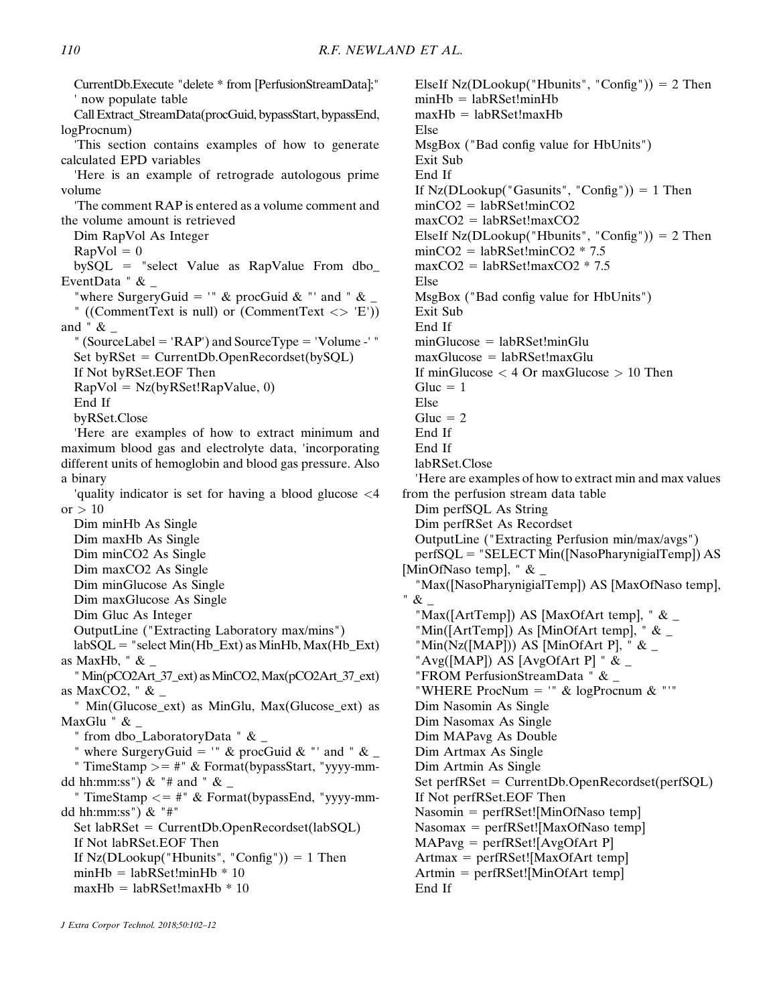CurrentDb.Execute "delete \* from [PerfusionStreamData];" ' now populate table Call Extract\_StreamData(procGuid, bypassStart, bypassEnd, logProcnum) 'This section contains examples of how to generate calculated EPD variables 'Here is an example of retrograde autologous prime volume 'The comment RAP is entered as a volume comment and the volume amount is retrieved Dim RapVol As Integer  $RapVol = 0$  $b\nu\text{SOL}$  = "select Value as RapValue From dbo EventData "  $\&$  \_ "where SurgeryGuid = '" & procGuid & "' and "  $\&$  \_ " ((CommentText is null) or (CommentText  $\langle \rangle$  'E')) and  $" \&$ " (SourceLabel = 'RAP') and SourceType = 'Volume -' "  $Set$  by $RSet$  = CurrentDb.OpenRecordset(by $SQL$ ) If Not byRSet.EOF Then  $RapVol = Nz(byRSet!RapValue, 0)$ End If byRSet.Close 'Here are examples of how to extract minimum and maximum blood gas and electrolyte data, 'incorporating different units of hemoglobin and blood gas pressure. Also a binary 'quality indicator is set for having a blood glucose <4 or  $> 10$ Dim minHb As Single Dim maxHb As Single Dim minCO2 As Single Dim maxCO2 As Single Dim minGlucose As Single Dim maxGlucose As Single Dim Gluc As Integer OutputLine ("Extracting Laboratory max/mins")  $labSQL = "select Min(Hb\_Ext)$  as MinHb,  $Max(Hb\_Ext)$ as MaxHb,  $" \& \_$ "Min(pCO2Art\_37\_ext) asMinCO2,Max(pCO2Art\_37\_ext) as MaxCO2, " & \_ " Min(Glucose\_ext) as MinGlu, Max(Glucose\_ext) as MaxGlu " & \_ " from dbo\_LaboratoryData " & \_ " where SurgeryGuid = '" & procGuid & "' and "  $\&$  \_ " TimeStamp  $>=$  #" & Format(bypassStart, "yyyy-mmdd hh:mm:ss") & "# and " &  $\perp$ " TimeStamp  $\lt$  = #" & Format(bypassEnd, "yyyy-mmdd hh:mm:ss") & "#"  $Set$  labRSet = CurrentDb.OpenRecordset(labSQL) If Not labRSet.EOF Then If  $Nz(DLookup("Hbunits", "Config")) = 1$  Then  $minHb = labRSet!minHb * 10$  $maxHb = labRSet!maxHb * 10$ Else Else Else "&\_ End If 110 R.F. NEWLAND ET AL.

ElseIf Nz(DLookup("Hbunits", "Config")) =  $2$  Then  $minHb = labRSet!minHb$  $maxHb = labRSet!maxHb$ MsgBox ("Bad config value for HbUnits") Exit Sub End If If  $Nz(DLookup("Gasunits", "Config")) = 1$  Then  $minCO2 = labRSet!minCO2$  $maxCO2 = labRSet!maxCO2$ ElseIf Nz(DLookup("Hbunits", "Config")) =  $2$  Then  $minCO2 = labRSet!minCO2 * 7.5$  $maxCO2 = labRSet!maxCO2 * 7.5$ MsgBox ("Bad config value for HbUnits") Exit Sub End If  $minGlucose = labRSet!minGlu$  $maxGlucose = labRSet!maxGlu$ If minGlucose < 4 Or maxGlucose > 10 Then Gluc  $= 1$ Gluc  $= 2$ End If End If labRSet.Close 'Here are examples of how to extract min and max values from the perfusion stream data table Dim perfSQL As String Dim perfRSet As Recordset OutputLine ("Extracting Perfusion min/max/avgs")  $perfSQL = "SELECT Min([NasoPharynigia]Temp]) AS$ [MinOfNaso temp], "  $\&$  \_ "Max([NasoPharynigialTemp]) AS [MaxOfNaso temp], "Max([ArtTemp]) AS [MaxOfArt temp], " & \_ "Min([ArtTemp]) As [MinOfArt temp], " & \_ "Min(Nz([MAP])) AS [MinOfArt P], "  $\&$  \_ "Avg([MAP]) AS [AvgOfArt P] "  $\&$  \_ "FROM PerfusionStreamData " & \_ "WHERE ProcNum = '"  $&$  logProcnum  $&$  "'" Dim Nasomin As Single Dim Nasomax As Single Dim MAPavg As Double Dim Artmax As Single Dim Artmin As Single  $Set$  perf $RSet$  = CurrentDb.OpenRecordset(perfSQL) If Not perfRSet.EOF Then  $Nasomin = perfRSet![MinOfNaso temp]$  $Nasomax = perfRSet![MaxOfNaso temp]$  $MAPavg = perfRSet![AvgOfArt P]$  $Artmax = perfRSet![MaxOfArt temp]$  $Artmin = perfRSet![MinOfArt temp]$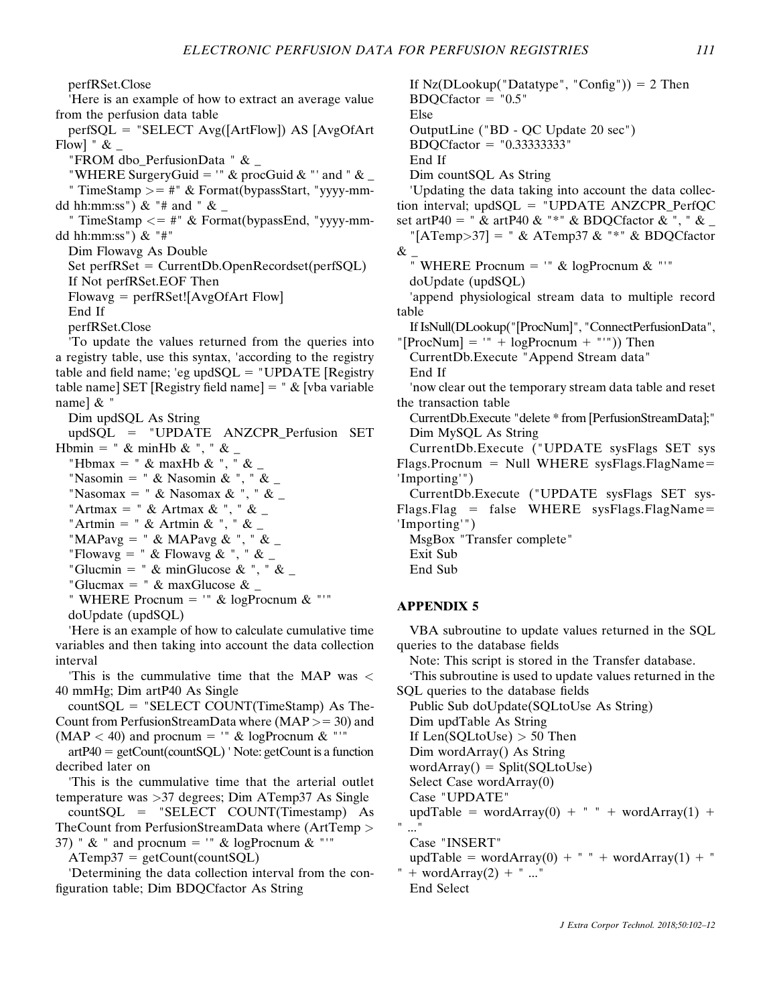perfRSet.Close

'Here is an example of how to extract an average value from the perfusion data table

 $perfSQL = "SELECT Avg([ArtFlow]) AS [AvgOfArt]$ Flow] "  $\&$   $_{-}$ 

"FROM dbo\_PerfusionData " & \_

"WHERE SurgeryGuid = '"  $\&$  procGuid  $\&$  "' and "  $\&$ 

" TimeStamp  $>=$  #"  $\&$  Format(bypassStart, "yyyy-mmdd hh:mm:ss") & "# and "  $\&$ 

" TimeStamp  $\leq$  = #" & Format(bypassEnd, "yyyy-mmdd hh:mm:ss") & "#"

Dim Flowavg As Double

 $Set$  perfRSet = CurrentDb.OpenRecordset(perfSQL) If Not perfRSet.EOF Then

 $Flowavg = perfRSet![AvgOfArt Flow]$ 

End If

perfRSet.Close

'To update the values returned from the queries into a registry table, use this syntax, 'according to the registry table and field name; 'eg upd $SQL = "UPDATE [ Register$ table name] SET [Registry field name]  $=$  "  $\&$  [vba variable name] & "

Dim updSQL As String

updSQL 5 "UPDATE ANZCPR\_Perfusion SET Hbmin = " & minHb & ", " &  $\overline{\phantom{a}}$ 

"Hbmax = " & maxHb & ", " &

"Nasomin = "  $\&$  Nasomin  $\&$  ", "  $\&$ 

"Nasomax = " & Nasomax & ", " &  $\overline{\phantom{a}}$ 

"Artmax = " & Artmax & ", " &  $\overline{\phantom{a}}$ 

"Artmin = " & Artmin & ", " &  $_{-}$ 

"MAPavg = " & MAPavg & ", " & \_

"Flowavg = " & Flowavg & ", " & \_

"Glucmin = " & minGlucose & ", " &  $\overline{\phantom{a}}$ 

"Glucmax = "  $\&$  maxGlucose  $\&$  \_

" WHERE Procnum =  $"$  & logProcnum & "'" doUpdate (updSQL)

'Here is an example of how to calculate cumulative time variables and then taking into account the data collection interval

'This is the cummulative time that the MAP was < 40 mmHg; Dim artP40 As Single

 $countSQL = "SELECT COUNT(TimeStamp)$  As The-Count from PerfusionStreamData where  $(MAP >= 30)$  and  $(MAP < 40)$  and procnum = "" & logProcnum & "'"

 $artP40 = getCount(countSQL)$  ' Note: getCount is a function decribed later on

'This is the cummulative time that the arterial outlet temperature was >37 degrees; Dim ATemp37 As Single

countSQL = "SELECT COUNT(Timestamp) As TheCount from PerfusionStreamData where (ArtTemp > 37) " & " and procnum = '" & logProcnum & "'"

 $ATemp37 = getCount(countSQL)$ 

'Determining the data collection interval from the configuration table; Dim BDQCfactor As String

If  $Nz(DLookup("Datatype", "Config")) = 2$  Then  $BDOCfactor = "0.5"$ Else OutputLine ("BD - QC Update 20 sec")  $BDOCfactor = "0.333333333"$ End If Dim countSQL As String 'Updating the data taking into account the data collection interval;  $updSQL = "UPDATE ANZCPR_PerfQC$ set artP40 = " & artP40 & "\*" & BDOCfactor & ", " & "[ATemp>37] = " & ATemp37 & "\*" & BDQCfactor  $\&$ " WHERE Procnum =  $"$  & logProcnum & "'" doUpdate (updSQL) 'append physiological stream data to multiple record table If IsNull(DLookup("[ProcNum]", "ConnectPerfusionData", "[ProcNum] = '" + logProcnum + "'")) Then CurrentDb.Execute "Append Stream data" End If 'now clear out the temporary stream data table and reset the transaction table CurrentDb.Execute "delete \* from [PerfusionStreamData];" Dim MySQL As String CurrentDb.Execute ("UPDATE sysFlags SET sys  $Flags. Proenum = Null WHERE sysFlags.FlagName=$ 'Importing'") CurrentDb.Execute ("UPDATE sysFlags SET sys- $Flags. Flag = false WHERE sysFlags. FlagName =$ 'Importing'") MsgBox "Transfer complete" Exit Sub End Sub APPENDIX 5

VBA subroutine to update values returned in the SQL queries to the database fields

Note: This script is stored in the Transfer database.

'This subroutine is used to update values returned in the SQL queries to the database fields

Public Sub doUpdate(SQLtoUse As String) Dim updTable As String

If  $Len(SOLtoUse) > 50$  Then

Dim wordArray() As String

 $wordArray() = Split(SQLtoUse)$ 

Select Case wordArray(0) Case "UPDATE"

updTable = wordArray(0) + " " + wordArray(1) +

" ..."

Case "INSERT"

updTable = wordArray(0) + " " + wordArray(1) + " " + word $Array(2) + " ..."$ 

End Select